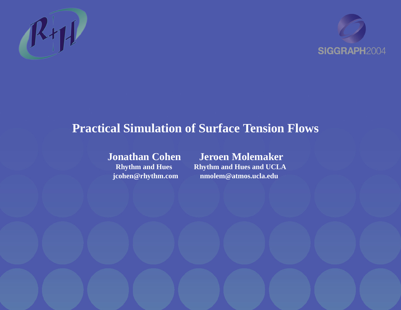



#### **Practical Simulation of Surface Tension Flows**

**Jonathan Cohen Jeroen Molemaker Rhythm and Hues Rhythm and Hues and UCLA jcohen@rhythm.com nmolem@atmos.ucla.edu**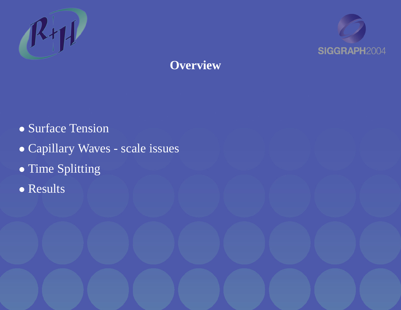



## **Overview**

- Surface Tension
- Capillary Waves scale issues
- Time Splitting
- Results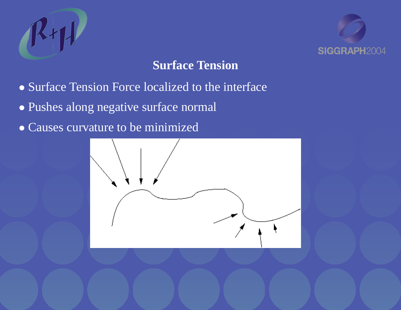



### **Surface Tension**

- Surface Tension Force localized to the interface
- Pushes along negative surface normal
- Causes curvature to be minimized

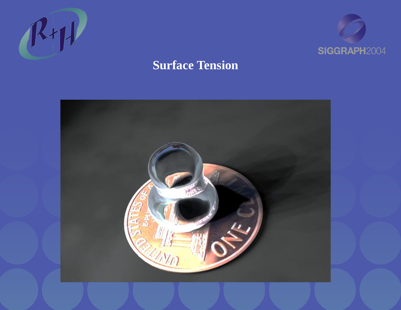



### **Surface Tension**

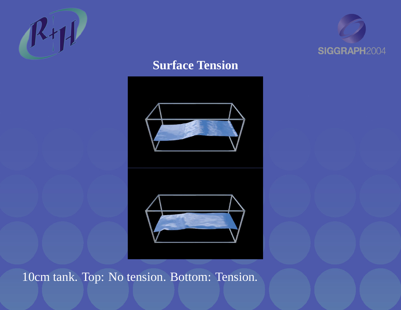



### **Surface Tension**





10cm tank. Top: No tension. Bottom: Tension.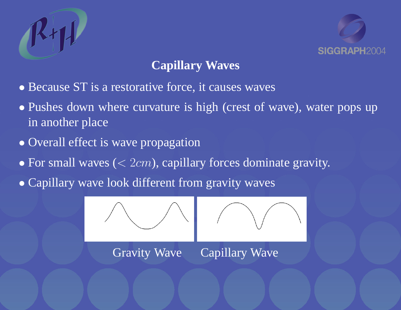



# **Capillary Waves**

- Because ST is a restorative force, it causes waves
- Pushes down where curvature is high (crest of wave), water pops up in another place
- Overall effect is wave propagation
- For small waves  $( $2cm$ ), capillary forces dominate gravity.$
- Capillary wave look different from gravity waves

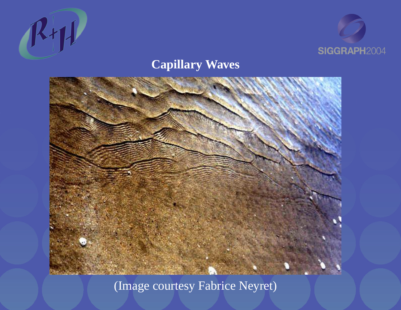



### **Capillary Waves**



(Image courtesy Fabrice Neyret)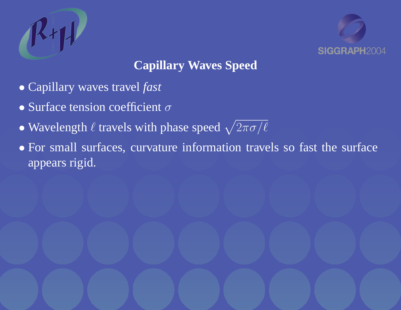



# **Capillary Waves Speed**

- Capillary waves travel *fast*
- Surface tension coefficient  $\sigma$
- Wavelength  $\ell$  travels with phase speed  $\sqrt{2\pi\sigma/\ell}$
- For small surfaces, curvature information travels so fast the surface appears rigid.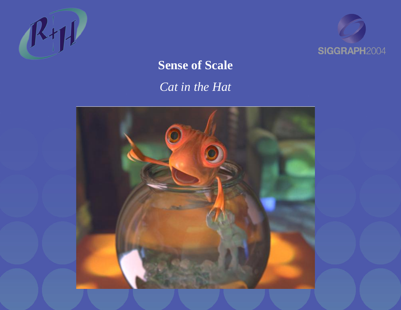



# **Sense of Scale** *Cat in the Hat*

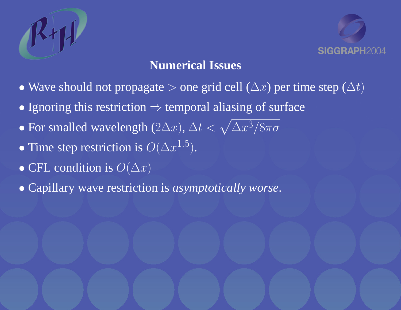



### **Numerical Issues**

- Wave should not propagate > one grid cell  $(\Delta x)$  per time step  $(\Delta t)$
- Ignoring this restriction  $\Rightarrow$  temporal aliasing of surface
- For smalled wavelength  $(2\Delta x)$ ,  $\Delta t < \sqrt{\Delta x^3/8\pi\sigma^2}$
- Time step restriction is  $O(\Delta x^{1.5})$ .
- CFL condition is  $O(\Delta x)$
- Capillary wave restriction is *asymptotically worse*.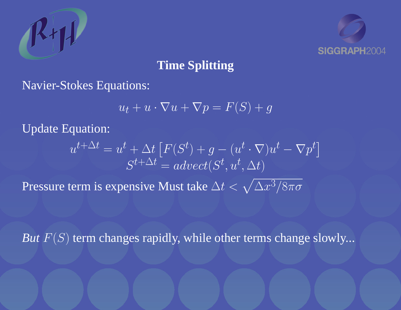



# **Time Splitting**

Navier-Stokes Equations:

$$
u_t + u \cdot \nabla u + \nabla p = F(S) + g
$$

Update Equation:

$$
u^{t+\Delta t} = u^t + \Delta t \left[ F(S^t) + g - (u^t \cdot \nabla) u^t - \nabla p^t \right]
$$

$$
S^{t+\Delta t} = advect(S^t, u^t, \Delta t)
$$

Pressure term is expensive Must take  $\Delta t < \sqrt{\Delta x^3/8\pi\sigma^2}$ 

*But*  $F(S)$  term changes rapidly, while other terms change slowly...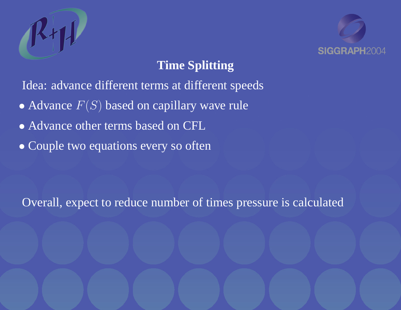



# **Time Splitting**

Idea: advance different terms at different speeds

- Advance  $F(S)$  based on capillary wave rule
- Advance other terms based on CFL
- Couple two equations every so often

Overall, expect to reduce number of times pressure is calculated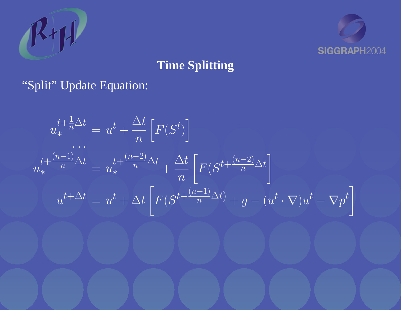



# **Time Splitting**

### "Split" Update Equation:

$$
u_*^{t + \frac{1}{n}\Delta t} = u^t + \frac{\Delta t}{n} \left[ F(S^t) \right]
$$
  
...  

$$
u_*^{t + \frac{(n-1)}{n}\Delta t} = u_*^{t + \frac{(n-2)}{n}\Delta t} + \frac{\Delta t}{n} \left[ F(S^{t + \frac{(n-2)}{n}\Delta t}) \right]
$$
  

$$
u^{t + \Delta t} = u^t + \Delta t \left[ F(S^{t + \frac{(n-1)}{n}\Delta t}) + g - (u^t \cdot \nabla)u^t - \nabla p^t \right]
$$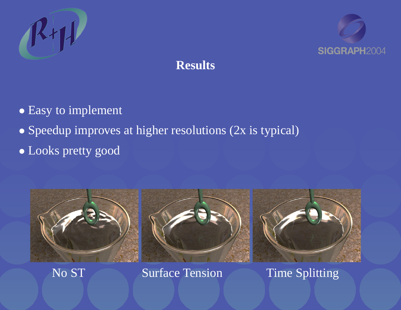



# **Results**

- Easy to implement
- Speedup improves at higher resolutions (2x is typical)
- Looks pretty good



No ST Surface Tension Time Splitting